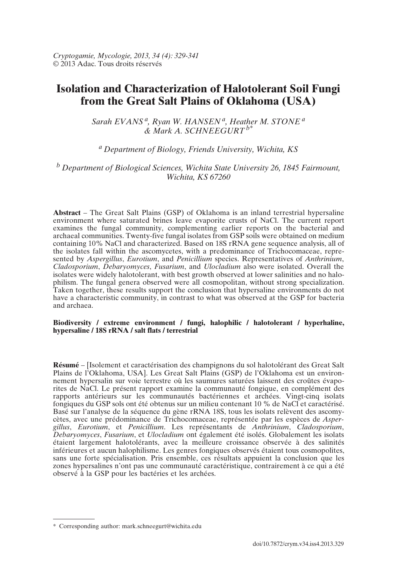*Cryptogamie, Mycologie, 2013, 34 (4): 329-341* © 2013 Adac. Tous droits réservés

# **Isolation and Characterization of Halotolerant Soil Fungi from the Great Salt Plains of Oklahoma (USA)**

*Sarah EVANS a, Ryan W. HANSEN a, Heather M. STONE a & Mark A. SCHNEEGURT b\**

# *a Department of Biology, Friends University, Wichita, KS*

*b Department of Biological Sciences, Wichita State University 26, 1845 Fairmount, Wichita, KS 67260*

**Abstract** – The Great Salt Plains (GSP) of Oklahoma is an inland terrestrial hypersaline environment where saturated brines leave evaporite crusts of NaCl. The current report examines the fungal community, complementing earlier reports on the bacterial and archaeal communities. Twenty-five fungal isolates from GSP soils were obtained on medium containing 10% NaCl and characterized. Based on 18S rRNA gene sequence analysis, all of the isolates fall within the ascomycetes, with a predominance of Trichocomaceae, represented by *Aspergillus*, *Eurotium*, and *Penicillium* species. Representatives of *Anthrinium*, *Cladosporium*, *Debaryomyces*, *Fusarium*, and *Ulocladium* also were isolated. Overall the isolates were widely halotolerant, with best growth observed at lower salinities and no halophilism. The fungal genera observed were all cosmopolitan, without strong specialization. Taken together, these results support the conclusion that hypersaline environments do not have a characteristic community, in contrast to what was observed at the GSP for bacteria and archaea.

#### **Biodiversity / extreme environment / fungi, halophilic / halotolerant / hyperhaline, hypersaline / 18S rRNA / salt flats / terrestrial**

**Résumé** – [Isolement et caractérisation des champignons du sol halotolérant des Great Salt Plains de l'Oklahoma, USA]. Les Great Salt Plains (GSP) de l'Oklahoma est un environnement hypersalin sur voie terrestre où les saumures saturées laissent des croûtes évaporites de NaCl. Le présent rapport examine la communauté fongique, en complément des rapports antérieurs sur les communautés bactériennes et archées. Vingt-cinq isolats fongiques du GSP sols ont été obtenus sur un milieu contenant 10 % de NaCl et caractérisé. Basé sur l'analyse de la séquence du gène rRNA 18S, tous les isolats relèvent des ascomycètes, avec une prédominance de Trichocomaceae, représentée par les espèces de *Aspergillus*, *Eurotium*, et *Penicillium*. Les représentants de *Anthrinium*, *Cladosporium*, *Debaryomyces*, *Fusarium*, et *Ulocladium* ont également été isolés. Globalement les isolats étaient largement halotolérants, avec la meilleure croissance observée à des salinités inférieures et aucun halophilisme. Les genres fongiques observés étaient tous cosmopolites, sans une forte spécialisation. Pris ensemble, ces résultats appuient la conclusion que les zones hypersalines n'ont pas une communauté caractéristique, contrairement à ce qui a été observé à la GSP pour les bactéries et les archées.

<sup>\*</sup> Corresponding author: mark.schneegurt@wichita.edu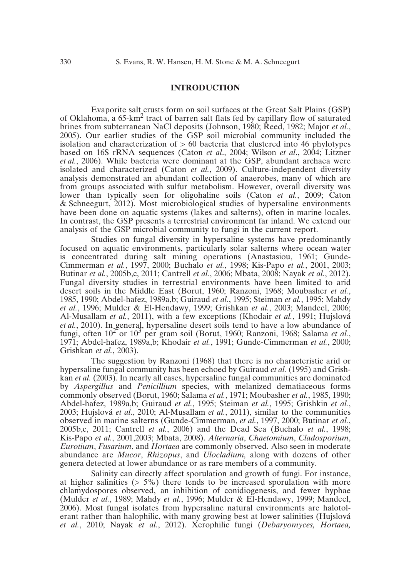# **INTRODUCTION**

Evaporite salt crusts form on soil surfaces at the Great Salt Plains (GSP) of Oklahoma, a 65-km2 tract of barren salt flats fed by capillary flow of saturated brines from subterranean NaCl deposits (Johnson, 1980; Reed, 1982; Major *et al.*, 2005). Our earlier studies of the GSP soil microbial community included the isolation and characterization of  $> 60$  bacteria that clustered into 46 phylotypes based on 16S rRNA sequences (Caton *et al*., 2004; Wilson *et al*., 2004; Litzner *et al.*, 2006). While bacteria were dominant at the GSP, abundant archaea were isolated and characterized (Caton *et al.*, 2009). Culture-independent diversity analysis demonstrated an abundant collection of anaerobes, many of which are from groups associated with sulfur metabolism. However, overall diversity was lower than typically seen for oligohaline soils (Caton *et al.*, 2009; Caton & Schneegurt, 2012). Most microbiological studies of hypersaline environments have been done on aquatic systems (lakes and salterns), often in marine locales. In contrast, the GSP presents a terrestrial environment far inland. We extend our analysis of the GSP microbial community to fungi in the current report.

Studies on fungal diversity in hypersaline systems have predominantly focused on aquatic environments, particularly solar salterns where ocean water is concentrated during salt mining operations (Anastasiou, 1961; Gunde-Cimmerman *et al.*, 1997, 2000; Buchalo *et al.*, 1998; Kis-Papo *et al.*, 2001, 2003; Butinar *et al.*, 2005b,c, 2011; Cantrell *et al.*, 2006; Mbata, 2008; Nayak *et al.*, 2012). Fungal diversity studies in terrestrial environments have been limited to arid desert soils in the Middle East (Borut, 1960; Ranzoni, 1968; Moubasher *et al.*, 1985, 1990; Abdel-hafez, 1989a,b; Guiraud *et al.*, 1995; Steiman *et al.*, 1995; Mahdy *et al.*, 1996; Mulder & El-Hendawy, 1999; Grishkan *et al.*, 2003; Mandeel, 2006; Al-Musallam *et al.*, 2011), with a few exceptions (Khodair *et al.*, 1991; Hujslová *et al.*, 2010). In general, hypersaline desert soils tend to have a low abundance of fungi, often  $10^{2}$  or  $10^{3}$  per gram soil (Borut, 1960; Ranzoni, 1968; Salama *et al.*, 1971; Abdel-hafez, 1989a,b; Khodair *et al.*, 1991; Gunde-Cimmerman *et al.*, 2000; Grishkan *et al.*, 2003).

The suggestion by Ranzoni (1968) that there is no characteristic arid or hypersaline fungal community has been echoed by Guiraud *et al.* (1995) and Grishkan *et al.* (2003). In nearly all cases, hypersaline fungal communities are dominated by *Aspergillus* and *Penicillium* species, with melanized dematiaceous forms commonly observed (Borut, 1960; Salama *et al.*, 1971; Moubasher *et al.*, 1985, 1990; Abdel-hafez, 1989a,b; Guiraud *et al.*, 1995; Steiman *et al.*, 1995; Grishkin *et al.*, 2003; Hujslová *et al*., 2010; Al-Musallam *et al.*, 2011), similar to the communities observed in marine salterns (Gunde-Cimmerman, *et al.*, 1997, 2000; Butinar *et al.*, 2005b,c, 2011; Cantrell *et al.*, 2006) and the Dead Sea (Buchalo *et al.*, 1998; Kis-Papo *et al.*, 2001,2003; Mbata, 2008). *Alternaria*, *Chaetomium*, *Cladosporium*, *Eurotium*, *Fusarium*, and *Hortaea* are commonly observed. Also seen in moderate abundance are *Mucor*, *Rhizopus*, and *Ulocladium,* along with dozens of other genera detected at lower abundance or as rare members of a community.

Salinity can directly affect sporulation and growth of fungi. For instance, at higher salinities  $(55%)$  there tends to be increased sporulation with more chlamydospores observed, an inhibition of conidiogenesis, and fewer hyphae (Mulder *et al.*, 1989; Mahdy *et al.*, 1996; Mulder & El-Hendawy, 1999; Mandeel, 2006). Most fungal isolates from hypersaline natural environments are halotolerant rather than halophilic, with many growing best at lower salinities (Hujslová *et al.*, 2010; Nayak *et al.*, 2012). Xerophilic fungi (*Debaryomyces, Hortaea,*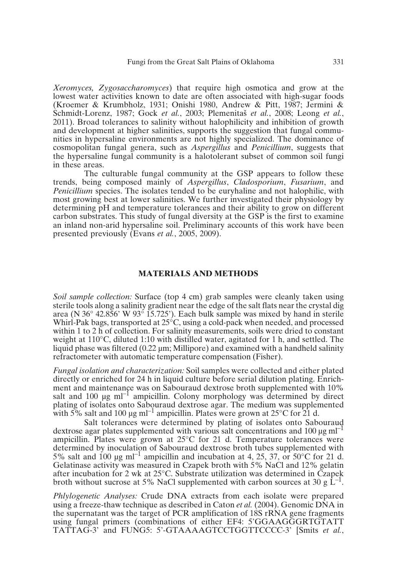*Xeromyces, Zygosaccharomyces*) that require high osmotica and grow at the lowest water activities known to date are often associated with high-sugar foods (Kroemer & Krumbholz, 1931; Onishi 1980, Andrew & Pitt, 1987; Jermini & Schmidt-Lorenz, 1987; Gock *et al.*, 2003; Plemenita≠ *et al.*, 2008; Leong *et al.*, 2011). Broad tolerances to salinity without halophilicity and inhibition of growth and development at higher salinities, supports the suggestion that fungal communities in hypersaline environments are not highly specialized. The dominance of cosmopolitan fungal genera, such as *Aspergillus* and *Penicillium*, suggests that the hypersaline fungal community is a halotolerant subset of common soil fungi in these areas.

The culturable fungal community at the GSP appears to follow these trends, being composed mainly of *Aspergillus*, *Cladosporium*, *Fusarium*, and *Penicillium* species. The isolates tended to be euryhaline and not halophilic, with most growing best at lower salinities. We further investigated their physiology by determining pH and temperature tolerances and their ability to grow on different carbon substrates. This study of fungal diversity at the GSP is the first to examine an inland non-arid hypersaline soil. Preliminary accounts of this work have been presented previously (Evans *et al.*, 2005, 2009).

## **MATERIALS AND METHODS**

*Soil sample collection:* Surface (top 4 cm) grab samples were cleanly taken using sterile tools along a salinity gradient near the edge of the salt flats near the crystal dig area (N 36° 42.856' W 93° 15.725'). Each bulk sample was mixed by hand in sterile Whirl-Pak bags, transported at 25<sup>o</sup>C, using a cold-pack when needed, and processed within 1 to 2 h of collection. For salinity measurements, soils were dried to constant weight at 110°C, diluted 1:10 with distilled water, agitated for 1 h, and settled. The liquid phase was filtered  $(0.22 \mu m)$ ; Millipore) and examined with a handheld salinity refractometer with automatic temperature compensation (Fisher).

*Fungal isolation and characterization:* Soil samples were collected and either plated directly or enriched for 24 h in liquid culture before serial dilution plating. Enrichment and maintenance was on Sabouraud dextrose broth supplemented with 10% salt and  $100 \mu g \text{ ml}^{-1}$  ampicillin. Colony morphology was determined by direct plating of isolates onto Sabouraud dextrose agar. The medium was supplemented with 5% salt and 100 µg ml<sup>-1</sup> ampicillin. Plates were grown at 25°C for 21 d.

Salt tolerances were determined by plating of isolates onto Sabouraud dextrose agar plates supplemented with various salt concentrations and 100  $\mu$ g ml<sup>-1</sup> ampicillin. Plates were grown at 25°C for 21 d. Temperature tolerances were determined by inoculation of Sabouraud dextrose broth tubes supplemented with 5% salt and 100  $\mu$ g ml<sup>-1</sup> ampicillin and incubation at 4, 25, 37, or 50°C for 21 d. Gelatinase activity was measured in Czapek broth with 5% NaCl and 12% gelatin after incubation for 2 wk at 25°C. Substrate utilization was determined in Czapek broth without sucrose at 5% NaCl supplemented with carbon sources at 30 g  $\rm L^{-1}$ .

*Phlylogenetic Analyses:* Crude DNA extracts from each isolate were prepared using a freeze-thaw technique as described in Caton *et al.* (2004). Genomic DNA in the supernatant was the target of PCR amplification of 18S rRNA gene fragments using fungal primers (combinations of either EF4: 5'GGAAGGGRTGTATT TATTAG-3' and FUNG5: 5'-GTAAAAGTCCTGGTTCCCC-3' [Smits *et al.*,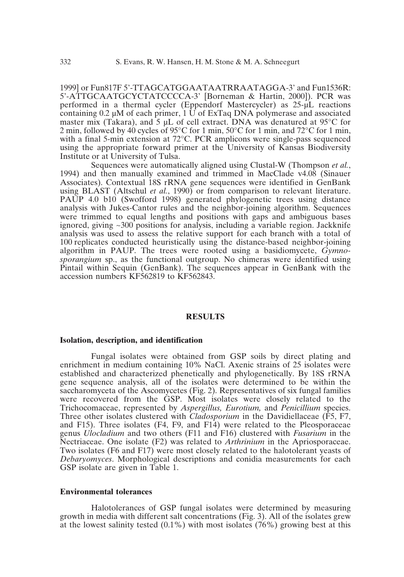1999] or Fun817F 5'-TTAGCATGGAATAATRRAATAGGA-3' and Fun1536R: 5'-ATTGCAATGCYCTATCCCCA-3' [Borneman & Hartin, 2000]). PCR was performed in a thermal cycler (Eppendorf Mastercycler) as 25-µL reactions containing 0.2  $\mu$ M of each primer, 1 U of ExTaq DNA polymerase and associated master mix (Takara), and  $\overline{5}$  uL of cell extract. DNA was denatured at 95 $\degree$ C for 2 min, followed by 40 cycles of 95 $\degree$ C for 1 min, 50 $\degree$ C for 1 min, and 72 $\degree$ C for 1 min, with a final 5-min extension at 72°C. PCR amplicons were single-pass sequenced using the appropriate forward primer at the University of Kansas Biodiversity Institute or at University of Tulsa.

Sequences were automatically aligned using Clustal-W (Thompson *et al.*, 1994) and then manually examined and trimmed in MacClade v4.08 (Sinauer Associates). Contextual 18S rRNA gene sequences were identified in GenBank using BLAST (Altschul *et al.*, 1990) or from comparison to relevant literature. PAUP 4.0 b10 (Swofford 1998) generated phylogenetic trees using distance analysis with Jukes-Cantor rules and the neighbor-joining algorithm. Sequences were trimmed to equal lengths and positions with gaps and ambiguous bases ignored, giving  $\sim$ 300 positions for analysis, including a variable region. Jackknife analysis was used to assess the relative support for each branch with a total of 100 replicates conducted heuristically using the distance-based neighbor-joining algorithm in PAUP. The trees were rooted using a basidiomycete, *Gymnosporangium* sp., as the functional outgroup. No chimeras were identified using Pintail within Sequin (GenBank). The sequences appear in GenBank with the accession numbers KF562819 to KF562843.

## **RESULTS**

#### **Isolation, description, and identification**

Fungal isolates were obtained from GSP soils by direct plating and enrichment in medium containing 10% NaCl. Axenic strains of 25 isolates were established and characterized phenetically and phylogenetically. By 18S rRNA gene sequence analysis, all of the isolates were determined to be within the saccharomyceta of the Ascomycetes (Fig. 2). Representatives of six fungal families were recovered from the GSP. Most isolates were closely related to the Trichocomaceae, represented by *Aspergillus, Eurotium,* and *Penicillium* species. Three other isolates clustered with *Cladosporium* in the Davidiellaceae (F5, F7, and F15). Three isolates (F4, F9, and F14) were related to the Pleosporaceae genus *Ulocladium* and two others (F11 and F16) clustered with *Fusarium* in the Nectriaceae. One isolate (F2) was related to *Arthrinium* in the Apriosporaceae. Two isolates (F6 and F17) were most closely related to the halotolerant yeasts of *Debaryomyces*. Morphological descriptions and conidia measurements for each GSP isolate are given in Table 1.

## **Environmental tolerances**

Halotolerances of GSP fungal isolates were determined by measuring growth in media with different salt concentrations (Fig. 3). All of the isolates grew at the lowest salinity tested  $(0.1\%)$  with most isolates (76%) growing best at this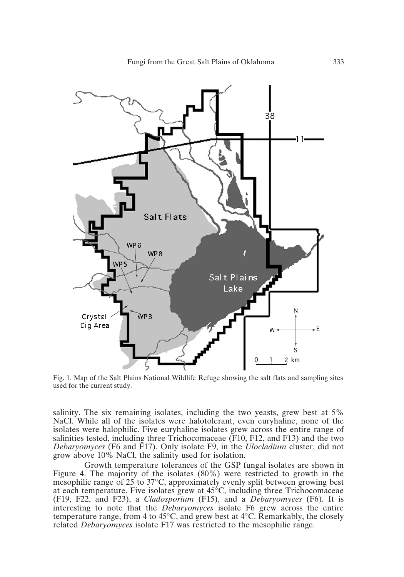

Fig. 1. Map of the Salt Plains National Wildlife Refuge showing the salt flats and sampling sites used for the current study.

salinity. The six remaining isolates, including the two yeasts, grew best at 5% NaCl. While all of the isolates were halotolerant, even euryhaline, none of the isolates were halophilic. Five euryhaline isolates grew across the entire range of salinities tested, including three Trichocomaceae (F10, F12, and F13) and the two *Debaryomyces* (F6 and F17). Only isolate F9, in the *Ulocladium* cluster, did not grow above 10% NaCl, the salinity used for isolation.

Growth temperature tolerances of the GSP fungal isolates are shown in Figure 4. The majority of the isolates (80%) were restricted to growth in the mesophilic range of 25 to 37°C, approximately evenly split between growing best at each temperature. Five isolates grew at 45°C, including three Trichocomaceae (F19, F22, and F23), a *Cladosporium* (F15), and a *Debaryomyces* (F6). It is interesting to note that the *Debaryomyces* isolate F6 grew across the entire temperature range, from 4 to 45°C, and grew best at 4°C. Remarkably, the closely related *Debaryomyces* isolate F17 was restricted to the mesophilic range.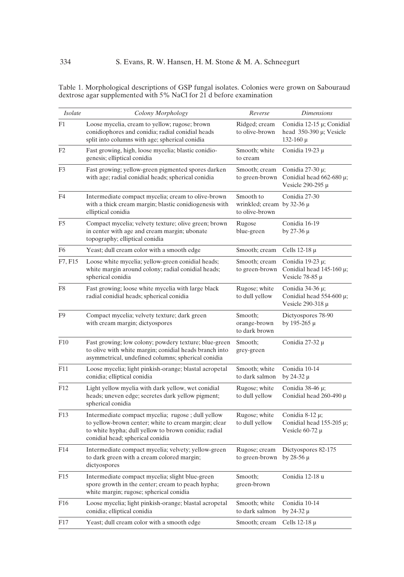Table 1. Morphological descriptions of GSP fungal isolates. Colonies were grown on Sabouraud dextrose agar supplemented with 5% NaCl for 21 d before examination

| Isolate | Colony Morphology                                                                                                                                                                                      | Reverse                                                       | <i>Dimensions</i>                                                               |  |  |
|---------|--------------------------------------------------------------------------------------------------------------------------------------------------------------------------------------------------------|---------------------------------------------------------------|---------------------------------------------------------------------------------|--|--|
| F1      | Loose mycelia, cream to yellow; rugose; brown<br>conidiophores and conidia; radial conidial heads<br>split into columns with age; spherical conidia                                                    | Ridged; cream<br>to olive-brown                               | Conidia 12-15 µ; Conidial<br>head $350-390 \mu$ ; Vesicle<br>$132-160$ μ        |  |  |
| F2      | Fast growing, high, loose mycelia; blastic conidio-<br>Smooth; white<br>genesis; elliptical conidia<br>to cream                                                                                        |                                                               | Conidia 19-23 µ                                                                 |  |  |
| F3      | Fast growing; yellow-green pigmented spores darken<br>with age; radial conidial heads; spherical conidia                                                                                               | Smooth; cream<br>to green-brown                               | Conidia $27-30 \mu$ ;<br>Conidial head $662-680 \mu$ ;<br>Vesicle $290-295 \mu$ |  |  |
| F4      | Intermediate compact mycelia; cream to olive-brown<br>with a thick cream margin; blastic conidiogenesis with<br>elliptical conidia                                                                     | Smooth to<br>wrinkled; cream by $32-36 \mu$<br>to olive-brown | Conidia 27-30                                                                   |  |  |
| F5      | Compact mycelia; velvety texture; olive green; brown<br>Rugose<br>in center with age and cream margin; ubonate<br>blue-green<br>topography; elliptical conidia                                         |                                                               | Conidia 16-19<br>by 27-36 $\mu$                                                 |  |  |
| F6      | Yeast; dull cream color with a smooth edge                                                                                                                                                             | Smooth; cream                                                 | Cells 12-18 $\mu$                                                               |  |  |
| F7, F15 | Loose white mycelia; yellow-green conidial heads;<br>white margin around colony; radial conidial heads;<br>spherical conidia                                                                           | Smooth; cream<br>to green-brown                               | Conidia 19-23 $\mu$ ;<br>Conidial head $145-160 \mu$ ;<br>Vesicle $78-85 \mu$   |  |  |
| F8      | Fast growing; loose white mycelia with large black<br>radial conidial heads; spherical conidia                                                                                                         | Rugose; white<br>to dull yellow                               | Conidia $34-36 \mu$ ;<br>Conidial head $554-600 \mu$ ;<br>Vesicle 290-318 µ     |  |  |
| F9      | Compact mycelia; velvety texture; dark green<br>Smooth;<br>with cream margin; dictyospores<br>orange-brown<br>to dark brown                                                                            |                                                               | Dictyospores 78-90<br>by 195-265 $\mu$                                          |  |  |
| F10     | Fast growing; low colony; powdery texture; blue-green<br>to olive with white margin; conidial heads branch into<br>asymmetrical, undefined columns; spherical conidia                                  | Smooth;<br>grey-green                                         | Conidia 27-32 µ                                                                 |  |  |
| F11     | Loose mycelia; light pinkish-orange; blastal acropetal<br>conidia; elliptical conidia                                                                                                                  | Smooth; white<br>to dark salmon                               | Conidia 10-14<br>by 24-32 $\mu$                                                 |  |  |
| F12     | Light yellow myelia with dark yellow, wet conidial<br>heads; uneven edge; secretes dark yellow pigment;<br>spherical conidia                                                                           | Rugose; white<br>to dull yellow                               | Conidia 38-46 µ;<br>Conidial head $260-490 \mu$                                 |  |  |
| F13     | Intermediate compact mycelia; rugose ; dull yellow<br>to yellow-brown center; white to cream margin; clear<br>to white hypha; dull yellow to brown conidia; radial<br>conidial head; spherical conidia | Rugose; white<br>to dull yellow                               | Conidia 8-12 µ;<br>Conidial head $155-205 \mu$ ;<br>Vesicle $60-72 \mu$         |  |  |
| F14     | Intermediate compact mycelia; velvety; yellow-green<br>to dark green with a cream colored margin;<br>dictyospores                                                                                      | Rugose; cream<br>to green-brown                               | Dictyospores 82-175<br>by $28-56 \mu$                                           |  |  |
| F15     | Intermediate compact mycelia; slight blue-green<br>spore growth in the center; cream to peach hypha;<br>white margin; rugose; spherical conidia                                                        | Smooth:<br>green-brown                                        | Conidia 12-18 u                                                                 |  |  |
| F16     | Loose mycelia; light pinkish-orange; blastal acropetal<br>conidia; elliptical conidia                                                                                                                  | Smooth; white<br>to dark salmon                               | Conidia 10-14<br>by 24-32 μ                                                     |  |  |
| F17     | Yeast; dull cream color with a smooth edge                                                                                                                                                             | Smooth; cream                                                 | Cells $12-18 \mu$                                                               |  |  |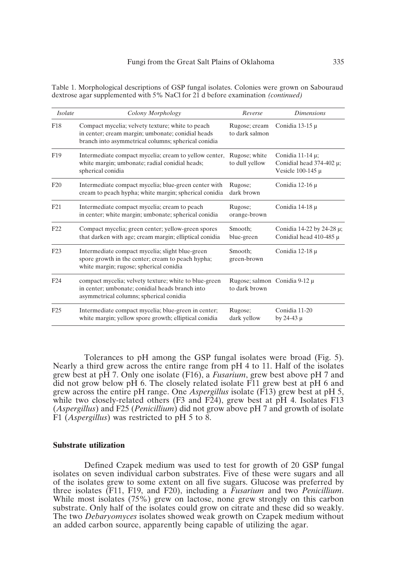Table 1. Morphological descriptions of GSP fungal isolates. Colonies were grown on Sabouraud dextrose agar supplemented with 5% NaCl for 21 d before examination *(continued)*

| Isolate         | Colony Morphology                                                                                                                                            | Reverse                                                                                                        | <b>Dimensions</b>                                        |  |
|-----------------|--------------------------------------------------------------------------------------------------------------------------------------------------------------|----------------------------------------------------------------------------------------------------------------|----------------------------------------------------------|--|
| F <sub>18</sub> | Compact mycelia; velvety texture; white to peach<br>in center; cream margin; umbonate; conidial heads<br>branch into asymmetrical columns; spherical conidia | Rugose; cream<br>to dark salmon                                                                                | Conidia 13-15 $\mu$                                      |  |
| F <sub>19</sub> | Intermediate compact mycelia; cream to yellow center,<br>white margin; umbonate; radial conidial heads;<br>spherical conidia                                 | Rugose; white<br>Conidia 11-14 $\mu$ ;<br>Conidial head $374-402 \mu$ ;<br>to dull yellow<br>Vesicle 100-145 µ |                                                          |  |
| F20             | Intermediate compact mycelia; blue-green center with<br>cream to peach hypha; white margin; spherical conidia                                                | Rugose;<br>dark brown                                                                                          | Conidia 12-16 $\mu$                                      |  |
| F21             | Intermediate compact mycelia; cream to peach<br>Rugose;<br>in center; white margin; umbonate; spherical conidia<br>orange-brown                              |                                                                                                                | Conidia 14-18 µ                                          |  |
| F <sub>22</sub> | Compact mycelia; green center; yellow-green spores<br>that darken with age; cream margin; elliptical conidia                                                 | Smooth:<br>blue-green                                                                                          | Conidia 14-22 by 24-28 μ;<br>Conidial head $410-485 \mu$ |  |
| F23             | Intermediate compact mycelia; slight blue-green<br>spore growth in the center; cream to peach hypha;<br>white margin; rugose; spherical conidia              | Smooth:<br>green-brown                                                                                         | Conidia 12-18 µ                                          |  |
| F <sub>24</sub> | compact mycelia; velvety texture; white to blue-green<br>in center; umbonate; conidial heads branch into<br>asymmetrical columns; spherical conidia          | to dark brown                                                                                                  | Rugose; salmon Conidia 9-12 µ                            |  |
| F25             | Intermediate compact mycelia; blue-green in center;<br>white margin; yellow spore growth; elliptical conidia                                                 | Rugose;<br>dark yellow                                                                                         | Conidia 11-20<br>by 24-43 $\mu$                          |  |

Tolerances to pH among the GSP fungal isolates were broad (Fig. 5). Nearly a third grew across the entire range from pH 4 to 11. Half of the isolates grew best at pH 7. Only one isolate (F16), a *Fusarium*, grew best above pH 7 and did not grow below pH 6. The closely related isolate  $\overline{F}11$  grew best at  $\overline{p}H$  6 and grew across the entire pH range. One *Aspergillus* isolate (F13) grew best at pH 5, while two closely-related others (F3 and F24), grew best at pH 4. Isolates F13 (*Aspergillus*) and F25 (*Penicillium*) did not grow above pH 7 and growth of isolate F1 (*Aspergillus*) was restricted to pH 5 to 8.

### **Substrate utilization**

Defined Czapek medium was used to test for growth of 20 GSP fungal isolates on seven individual carbon substrates. Five of these were sugars and all of the isolates grew to some extent on all five sugars. Glucose was preferred by three isolates (F11, F19, and F20), including a *Fusarium* and two *Penicillium*. While most isolates (75%) grew on lactose, none grew strongly on this carbon substrate. Only half of the isolates could grow on citrate and these did so weakly. The two *Debaryomyces* isolates showed weak growth on Czapek medium without an added carbon source, apparently being capable of utilizing the agar.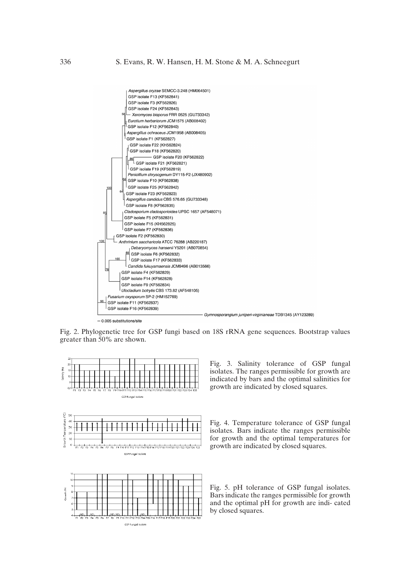

Fig. 2. Phylogenetic tree for GSP fungi based on 18S rRNA gene sequences. Bootstrap values greater than 50% are shown.





GSP Fungal Isolat

ND, NI GSP Fungal Isolate Fig. 3. Salinity tolerance of GSP fungal isolates. The ranges permissible for growth are indicated by bars and the optimal salinities for growth are indicated by closed squares.

Fig. 4. Temperature tolerance of GSP fungal isolates. Bars indicate the ranges permissible for growth and the optimal temperatures for growth are indicated by closed squares.

Fig. 5. pH tolerance of GSP fungal isolates. Bars indicate the ranges permissible for growth and the optimal pH for growth are indi- cated by closed squares.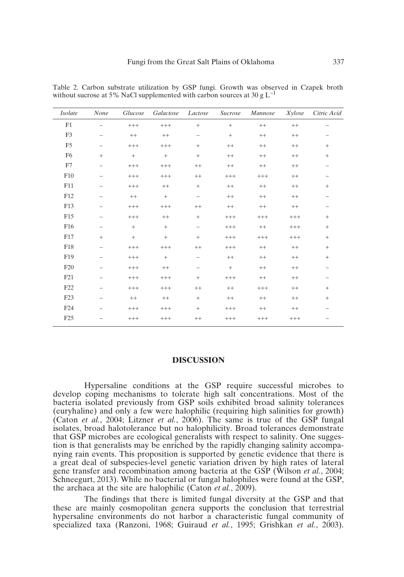| Isolate         | None                     | Glucose           | Galactose       | Lactose                  | Sucrose         | Mannose  | Xylose   | Citric Acid              |
|-----------------|--------------------------|-------------------|-----------------|--------------------------|-----------------|----------|----------|--------------------------|
| F1              | $\overline{\phantom{0}}$ | $^{+++}$          | $^{+++}$        | $^{+}$                   | $\! + \!\!\!\!$ | $^{++}$  | $^{++}$  | $\overline{\phantom{0}}$ |
| F3              | $\overline{\phantom{0}}$ | $+ +$             | $+ +$           | $\qquad \qquad -$        | $\! + \!\!\!\!$ | $^{++}$  | $^{++}$  |                          |
| F <sub>5</sub>  | $\overline{\phantom{0}}$ | $^{+++}$          | $^{+++}$        | $\! + \!\!\!\!$          | $^{++}$         | $^{++}$  | $^{++}$  | $\! + \!\!\!\!$          |
| F <sub>6</sub>  | $\! + \!\!\!\!$          | $\qquad \qquad +$ | $\! + \!\!\!\!$ | $\! + \!\!\!\!$          | $++$            | $^{++}$  | $^{++}$  | $\! + \!\!\!\!$          |
| F7              | $\qquad \qquad -$        | $^{+++}$          | $^{+++}$        | $^{++}$                  | $^{++}$         | $^{++}$  | $^{++}$  | $\qquad \qquad -$        |
| F10             | $\overline{\phantom{0}}$ | $^{+++}$          | $^{+++}$        | $+ +$                    | $^{+++}$        | $^{+++}$ | $^{++}$  | $\qquad \qquad -$        |
| F11             | $\overline{\phantom{0}}$ | $^{+++}$          | $+ +$           | $\! + \!\!\!\!$          | $^{++}$         | $^{++}$  | $^{++}$  | $^{+}$                   |
| F12             |                          | $++$              | $+$             | $\overline{\phantom{0}}$ | $++$            | $++$     | $++$     |                          |
| F13             | $\overline{\phantom{0}}$ | $^{+++}$          | $^{+++}$        | $++$                     | $^{++}$         | $^{++}$  | $^{++}$  | $\qquad \qquad -$        |
| F15             | $\overline{\phantom{0}}$ | $^{+++}$          | $^{++}$         | $\! + \!\!\!\!$          | $^{+++}$        | $^{+++}$ | $^{+++}$ | $\! + \!\!\!\!$          |
| F16             |                          | $+$               | $+$             | $\overline{\phantom{m}}$ | $^{+++}$        | $^{++}$  | $+++$    | $+$                      |
| F17             | $+$                      | $^{+}$            | $+$             | $+$                      | $^{+++}$        | $+++$    | $+++$    | $+$                      |
| F18             | $\qquad \qquad -$        | $^{+++}$          | $^{+++}$        | $^{++}$                  | $^{+++}$        | $^{++}$  | $^{++}$  | $\! + \!\!\!\!$          |
| F19             | $\overline{\phantom{0}}$ | $^{+++}$          | $\! + \!\!\!\!$ | $\qquad \qquad -$        | $^{++}$         | $^{++}$  | $^{++}$  | $\! + \!\!\!\!$          |
| F20             |                          | $^{+++}$          | $^{++}$         | $\overline{\phantom{0}}$ | $+$             | $^{++}$  | $^{++}$  |                          |
| F <sub>21</sub> | $\overline{\phantom{0}}$ | $^{+++}$          | $^{+++}$        | $^{+}$                   | $^{+++}$        | $^{++}$  | $^{++}$  |                          |
| F22             | $\overline{\phantom{0}}$ | $^{+++}$          | $^{+++}$        | $^{++}$                  | $^{++}$         | $+++$    | $^{++}$  | $\! + \!\!\!\!$          |
| F <sub>23</sub> | $\overline{\phantom{0}}$ | $+ +$             | $+ +$           | $\! + \!\!\!\!$          | $++$            | $^{++}$  | $^{++}$  | $\! + \!\!\!\!$          |
| F <sub>24</sub> |                          | $^{+++}$          | $^{+++}$        | $^{+}$                   | $^{+++}$        | $^{++}$  | $^{++}$  |                          |
| F25             | $\overline{\phantom{0}}$ | $^{+++}$          | $^{+++}$        | $^{++}$                  | $^{+++}$        | $^{+++}$ | $^{+++}$ |                          |

Table 2. Carbon substrate utilization by GSP fungi. Growth was observed in Czapek broth without sucrose at 5% NaCl supplemented with carbon sources at 30 g  $L^{-1}$ 

# **DISCUSSION**

Hypersaline conditions at the GSP require successful microbes to develop coping mechanisms to tolerate high salt concentrations. Most of the bacteria isolated previously from GSP soils exhibited broad salinity tolerances (euryhaline) and only a few were halophilic (requiring high salinities for growth) (Caton *et al.*, 2004; Litzner *et al.*, 2006). The same is true of the GSP fungal isolates, broad halotolerance but no halophilicity. Broad tolerances demonstrate that GSP microbes are ecological generalists with respect to salinity. One suggestion is that generalists may be enriched by the rapidly changing salinity accompanying rain events. This proposition is supported by genetic evidence that there is a great deal of subspecies-level genetic variation driven by high rates of lateral gene transfer and recombination among bacteria at the GSP (Wilson *et al.*, 2004; Schneegurt, 2013). While no bacterial or fungal halophiles were found at the GSP, the archaea at the site are halophilic (Caton *et al.*, 2009).

The findings that there is limited fungal diversity at the GSP and that these are mainly cosmopolitan genera supports the conclusion that terrestrial hypersaline environments do not harbor a characteristic fungal community of specialized taxa (Ranzoni, 1968; Guiraud *et al.*, 1995; Grishkan *et al.*, 2003).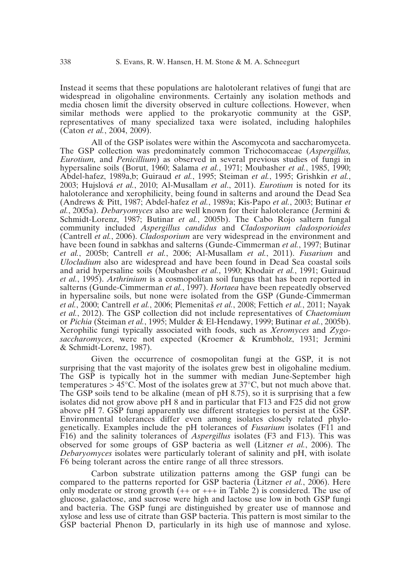Instead it seems that these populations are halotolerant relatives of fungi that are widespread in oligohaline environments. Certainly any isolation methods and media chosen limit the diversity observed in culture collections. However, when similar methods were applied to the prokaryotic community at the GSP, representatives of many specialized taxa were isolated, including halophiles (Caton *et al.*, 2004, 2009).

All of the GSP isolates were within the Ascomycota and saccharomyceta. The GSP collection was predominately common Trichocomaceae (*Aspergillus, Eurotium,* and *Penicillium*) as observed in several previous studies of fungi in hypersaline soils (Borut, 1960; Salama *et al.*, 1971; Moubasher *et al.*, 1985, 1990; Abdel-hafez, 1989a,b; Guiraud *et al.*, 1995; Steiman *et al.*, 1995; Grishkin *et al.*, 2003; Hujslová *et al.*, 2010; Al-Musallam *et al*., 2011). *Eurotium* is noted for its halotolerance and xerophilicity, being found in salterns and around the Dead Sea (Andrews & Pitt, 1987; Abdel-hafez *et al.*, 1989a; Kis-Papo *et al.*, 2003; Butinar *et al.*, 2005a). *Debaryomyces* also are well known for their halotolerance (Jermini & Schmidt-Lorenz, 1987; Butinar *et al.*, 2005b). The Cabo Rojo saltern fungal community included *Aspergillus candidus* and *Cladosporium cladosporioides* (Cantrell *et al.*, 2006). *Cladosporium* are very widespread in the environment and have been found in sabkhas and salterns (Gunde-Cimmerman *et al.*, 1997; Butinar *et al.*, 2005b; Cantrell *et al.*, 2006; Al-Musallam *et al.*, 2011). *Fusarium* and *Ulocladium* also are widespread and have been found in Dead Sea coastal soils and arid hypersaline soils (Moubasher *et al.*, 1990; Khodair *et al.*, 1991; Guiraud *et al.*, 1995). *Arthrinium* is a cosmopolitan soil fungus that has been reported in salterns (Gunde-Cimmerman *et al.*, 1997). *Hortaea* have been repeatedly observed in hypersaline soils, but none were isolated from the GSP (Gunde-Cimmerman *et al.*, 2000; Cantrell *et al.*, 2006; Plemenita≠ *et al.*, 2008; Fettich *et al.*, 2011; Nayak *et al.*, 2012). The GSP collection did not include representatives of *Chaetomium* or *Pichia* (Steiman *et al.*, 1995; Mulder & El-Hendawy, 1999; Butinar *et al.*, 2005b). Xerophilic fungi typically associated with foods, such as *Xeromyces* and *Zygosaccharomyces*, were not expected (Kroemer & Krumbholz, 1931; Jermini & Schmidt-Lorenz, 1987).

Given the occurrence of cosmopolitan fungi at the GSP, it is not surprising that the vast majority of the isolates grew best in oligohaline medium. The GSP is typically hot in the summer with median June-September high temperatures  $> 45^{\circ}$ C. Most of the isolates grew at 37 $^{\circ}$ C, but not much above that. The GSP soils tend to be alkaline (mean of pH 8.75), so it is surprising that a few isolates did not grow above pH 8 and in particular that F13 and F25 did not grow above pH 7. GSP fungi apparently use different strategies to persist at the GSP. Environmental tolerances differ even among isolates closely related phylogenetically. Examples include the pH tolerances of *Fusarium* isolates (F11 and F16) and the salinity tolerances of *Aspergillus* isolates (F3 and F13). This was observed for some groups of GSP bacteria as well (Litzner *et al.*, 2006). The *Debaryomyces* isolates were particularly tolerant of salinity and pH, with isolate F6 being tolerant across the entire range of all three stressors.

Carbon substrate utilization patterns among the GSP fungi can be compared to the patterns reported for GSP bacteria (Litzner *et al.*, 2006). Here only moderate or strong growth  $(+\alpha + +\alpha + \alpha + \beta)$  is considered. The use of glucose, galactose, and sucrose were high and lactose use low in both GSP fungi and bacteria. The GSP fungi are distinguished by greater use of mannose and xylose and less use of citrate than GSP bacteria. This pattern is most similar to the GSP bacterial Phenon D, particularly in its high use of mannose and xylose.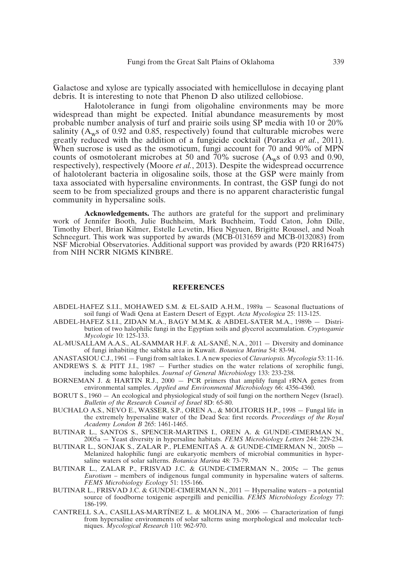Galactose and xylose are typically associated with hemicellulose in decaying plant debris. It is interesting to note that Phenon D also utilized cellobiose.

Halotolerance in fungi from oligohaline environments may be more widespread than might be expected. Initial abundance measurements by most probable number analysis of turf and prairie soils using SP media with 10 or 20% salinity ( $A_{\rm w}$ s of 0.92 and 0.85, respectively) found that culturable microbes were greatly reduced with the addition of a fungicide cocktail (Porazka *et al.*, 2011). When sucrose is used as the osmoticum, fungi account for 70 and 90% of MPN counts of osmotolerant microbes at 50 and  $70\%$  sucrose (A<sub>w</sub>s of 0.93 and 0.90, respectively), respectively (Moore *et al.*, 2013). Despite the widespread occurrence of halotolerant bacteria in oligosaline soils, those at the GSP were mainly from taxa associated with hypersaline environments. In contrast, the GSP fungi do not seem to be from specialized groups and there is no apparent characteristic fungal community in hypersaline soils.

**Acknowledgements.** The authors are grateful for the support and preliminary work of Jennifer Booth, Julie Buchheim, Mark Buchheim, Todd Caton, John Dille, Timothy Eberl, Brian Kilmer, Estelle Levetin, Hieu Ngyuen, Brigitte Roussel, and Noah Schneegurt. This work was supported by awards (MCB-0131659 and MCB-0132083) from NSF Microbial Observatories. Additional support was provided by awards (P20 RR16475) from NIH NCRR NIGMS KINBRE.

#### **REFERENCES**

- ABDEL-HAFEZ S.I.I., MOHAWED S.M. & EL-SAID A.H.M., 1989a Seasonal fluctuations of soil fungi of Wadi Qena at Eastern Desert of Egypt. *Acta Mycologica* 25: 113-125.
- ABDEL-HAFEZ S.I.I., ZIDAN M.A., BAGY M.M.K. & ABDEL-SATER M.A., 1989b Distribution of two halophilic fungi in the Egyptian soils and glycerol accumulation. *Cryptogamie Mycologie* 10: 125-133.
- AL-MUSALLAM A.A.S., AL-SAMMAR H.F. & AL-SANÉ, N.A., 2011 Diversity and dominance of fungi inhabiting the sabkha area in Kuwait. *Botanica Marina* 54: 83-94.
- ANASTASIOU C.J., 1961 Fungi from salt lakes. I. A new species of *Clavariopsis. Mycologia* 53: 11-16. ANDREWS S. & PITT J.I., 1987 — Further studies on the water relations of xerophilic fungi,
- including some halophiles. *Journal of General Microbiology* 133: 233-238. BORNEMAN J.  $\&$  HARTIN R.J., 2000 – PCR primers that amplify fungal rRNA genes from environmental samples. *Applied and Environmental Microbiology* 66: 4356-4360.
- BORUT S., 1960 An ecological and physiological study of soil fungi on the northern Negev (Israel). *Bulletin of the Research Council of Israel* 8D: 65-80.
- BUCHALO A.S., NEVO E., WASSER, S.P., OREN A., & MOLITORIS H.P., 1998 Fungal life in the extremely hypersaline water of the Dead Sea: first records. *Proceedings of the Royal Academy London B* 265: 1461-1465.
- BUTINAR L., SANTOS S., SPENCER-MARTINS I., OREN A. & GUNDE-CIMERMAN N., 2005a — Yeast diversity in hypersaline habitats. *FEMS Microbiology Letters* 244: 229-234.
- BUTINAR L., SONJAK S., ZALAR P., PLEMENITAŠ A. & GUNDE-CIMERMAN N., 2005b -Melanized halophilic fungi are eukaryotic members of microbial communities in hypersaline waters of solar salterns. *Botanica Marina* 48: 73-79.
- BUTINAR L., ZALAR P., FRISVAD J.C. & GUNDE-CIMERMAN N., 2005c The genus *Eurotium* – members of indigenous fungal community in hypersaline waters of salterns. *FEMS Microbiology Ecology* 51: 155-166.
- BUTINAR L., FRISVAD J.C. & GUNDE-CIMERMAN N., 2011 Hypersaline waters a potential source of foodborne toxigenic aspergilli and penicillia. *FEMS Microbiology Ecology* 77: 186-199.
- CANTRELL S.A., CASILLAS-MARTÍNEZ L. & MOLINA M., 2006 Characterization of fungi from hypersaline environments of solar salterns using morphological and molecular techniques. *Mycological Research* 110: 962-970.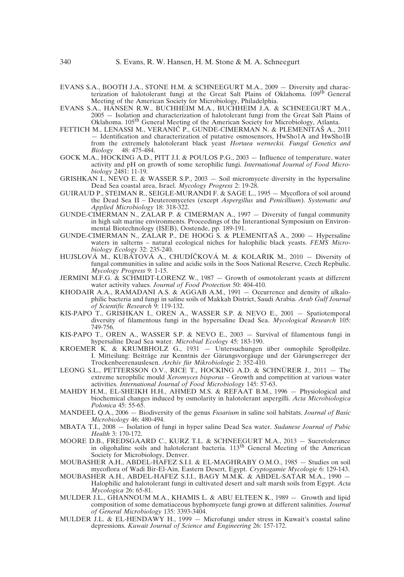- EVANS S.A., BOOTH J.A., STONE H.M. & SCHNEEGURT M.A., 2009 Diversity and characterization of halotolerant fungi at the Great Salt Plains of Oklahoma. 109<sup>th</sup> General Meeting of the American Society for Microbiology, Philadelphia.
- EVANS S.A., HANSEN R.W., BUCHHEIM M.A., BUCHHEIM J.A. & SCHNEEGURT M.A., 2005 — Isolation and characterization of halotolerant fungi from the Great Salt Plains of Oklahoma. 105th General Meeting of the American Society for Microbiology, Atlanta.
- FETTICH M., LENASSI M., VERANIČ P., GUNDE-CIMERMAN N. & PLEMENITAŠ A., 2011 — Identification and characterization of putative osmosensors, HwSho1A and HwSho1B from the extremely halotolerant black yeast *Hortaea werneckii. Fungal Genetics and Biology* 48: 475-484.
- GOCK M.A., HOCKING A.D., PITT J.I. & POULOS P.G., 2003 Influence of temperature, water activity and pH on growth of some xerophilic fungi. *International Journal of Food Microbiology* 2481: 11-19.
- GRISHKAN I., NEVO E. & WASSER S.P.,  $2003 -$  Soil micromycete diversity in the hypersaline Dead Sea coastal area, Israel. *Mycology Progress* 2: 19-28.
- GUIRAUD P., STEIMAN R., SEIGLE-MURANDI F. & SAGE L., 1995 Mycoflora of soil around the Dead Sea II – Deuteromycetes (except *Aspergillus* and *Penicillium*). *Systematic and Applied Microbiology* 18: 318-322.
- GUNDE-CIMERMAN N., ZALAR P. & CIMERMAN A., 1997 Diversity of fungal community in high salt marine environments. Proceedings of the Interantional Symposium on Environmental Biotechnology (ISEB), Oostende, pp. 189-191.
- GUNDE-CIMERMAN N., ZALAR P., DE HOOG S. & PLEMENITAŠ A., 2000 Hypersaline waters in salterns – natural ecological niches for halophilic black yeasts. *FEMS Microbiology Ecology* 32: 235-240.
- HUJSLOVÁ M., KUBÁTOVÁ A., CHUDÍČKOVÁ M. & KOLAŘIK M., 2010 Diversity of fungal communities in saline and acidic soils in the Soos National Reserve, Czech Repbulic. *Mycology Progress* 9: 1-15.
- JERMINI M.F.G. & SCHMIDT-LORENZ W., 1987 Growth of osmotolerant yeasts at different water activity values. *Journal of Food Protection* 50: 404-410.
- KHODAIR A.A., RAMADANI A.S. & AGGAB A.M., 1991 Occurrence and density of alkalophilic bacteria and fungi in saline soils of Makkah District, Saudi Arabia. *Arab Gulf Journal of Scientific Research* 9: 119-132.
- KIS-PAPO T., GRISHKAN I., OREN A., WASSER S.P. & NEVO E., 2001 Spatiotemporal diversity of filamentous fungi in the hypersaline Dead Sea. *Mycological Research* 105: 749-756.
- KIS-PAPO T., OREN A., WASSER S.P. & NEVO E., 2003 Survival of filamentous fungi in hypersaline Dead Sea water. *Microbial Ecology* 45: 183-190.
- KROEMER K. & KRUMBHOLZ G., 1931 Untersuchungen über osmophile Sproßpilze. I. Mitteilung: Beiträge zur Kenntnis der Gärungsvorgäuge und der Gärungserreger der Trockenbeerenauslesen. *Archiv für Mikrobiologie* 2: 352-410.
- LEONG S.L., PETTERSSON O.V., RICE T., HOCKING A.D. & SCHNÜRER J., 2011 The extreme xerophilic mould *Xeromyces bisporus* – Growth and competition at various water activities. *International Journal of Food Microbiology* 145: 57-63.
- MAHDY H.M., EL-SHEIKH H.H., AHMED M.S. & REFAAT B.M., 1996 Physiological and biochemical changes induced by osmolarity in halotolerant aspergilli. *Acta Microbiologica Polonica* 45: 55-65.
- MANDEEL Q.A., 2006 Biodiversity of the genus *Fusarium* in saline soil habitats. *Journal of Basic Microbiology* 46: 480-494.
- MBATA T.I., 2008 Isolation of fungi in hyper saline Dead Sea water. *Sudanese Journal of Pubic Health* 3: 170-172.
- MOORE D.B., FREDSGAARD C., KURZ T.L. & SCHNEEGURT M.A., 2013 Sucretolerance in oligohaline soils and halotolerant bacteria. 113<sup>th</sup> General Meeting of the American Society for Microbiology, Denver.
- MOUBASHER A.H., ABDEL-HAFEZ S.I.I. & EL-MAGHRABY O.M.O., 1985 Studies on soil mycoflora of Wadi Bir-El-Ain, Eastern Desert, Egypt. *Cryptogamie Mycologie* 6: 129-143.
- MOUBASHER A.H., ABDEL-HAFEZ S.I.I., BAGY M.M.K. & ABDEL-SATAR M.A., 1990 Halophilic and halotolerant fungi in cultivated desert and salt marsh soils from Egypt. *Acta Mycologica* 26: 65-81.
- MULDER J.L., GHANNOUM M.A., KHAMIS L. & ABU ELTEEN K., 1989 Growth and lipid composition of some dematiaceous hyphomycete fungi grown at different salinities. *Journal of General Microbiology* 135: 3393-3404.
- MULDER J.L. & EL-HENDAWY H., 1999 Microfungi under stress in Kuwait's coastal saline depressions. *Kuwait Journal of Science and Engineering* 26: 157-172.